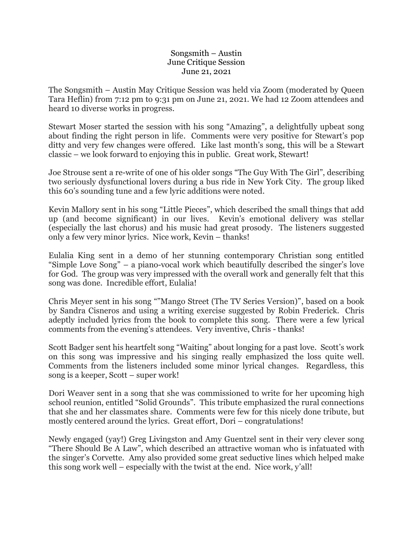## Songsmith – Austin June Critique Session June 21, 2021

The Songsmith – Austin May Critique Session was held via Zoom (moderated by Queen Tara Heflin) from 7:12 pm to 9:31 pm on June 21, 2021. We had 12 Zoom attendees and heard 10 diverse works in progress.

Stewart Moser started the session with his song "Amazing", a delightfully upbeat song about finding the right person in life. Comments were very positive for Stewart's pop ditty and very few changes were offered. Like last month's song, this will be a Stewart classic – we look forward to enjoying this in public. Great work, Stewart!

Joe Strouse sent a re-write of one of his older songs "The Guy With The Girl", describing two seriously dysfunctional lovers during a bus ride in New York City. The group liked this 60's sounding tune and a few lyric additions were noted.

Kevin Mallory sent in his song "Little Pieces", which described the small things that add up (and become significant) in our lives. Kevin's emotional delivery was stellar (especially the last chorus) and his music had great prosody. The listeners suggested only a few very minor lyrics. Nice work, Kevin – thanks!

Eulalia King sent in a demo of her stunning contemporary Christian song entitled "Simple Love Song" – a piano-vocal work which beautifully described the singer's love for God. The group was very impressed with the overall work and generally felt that this song was done. Incredible effort, Eulalia!

Chris Meyer sent in his song ""Mango Street (The TV Series Version)", based on a book by Sandra Cisneros and using a writing exercise suggested by Robin Frederick. Chris adeptly included lyrics from the book to complete this song. There were a few lyrical comments from the evening's attendees. Very inventive, Chris - thanks!

Scott Badger sent his heartfelt song "Waiting" about longing for a past love. Scott's work on this song was impressive and his singing really emphasized the loss quite well. Comments from the listeners included some minor lyrical changes. Regardless, this song is a keeper, Scott – super work!

Dori Weaver sent in a song that she was commissioned to write for her upcoming high school reunion, entitled "Solid Grounds". This tribute emphasized the rural connections that she and her classmates share. Comments were few for this nicely done tribute, but mostly centered around the lyrics. Great effort, Dori – congratulations!

Newly engaged (yay!) Greg Livingston and Amy Guentzel sent in their very clever song "There Should Be A Law", which described an attractive woman who is infatuated with the singer's Corvette. Amy also provided some great seductive lines which helped make this song work well – especially with the twist at the end. Nice work, y'all!